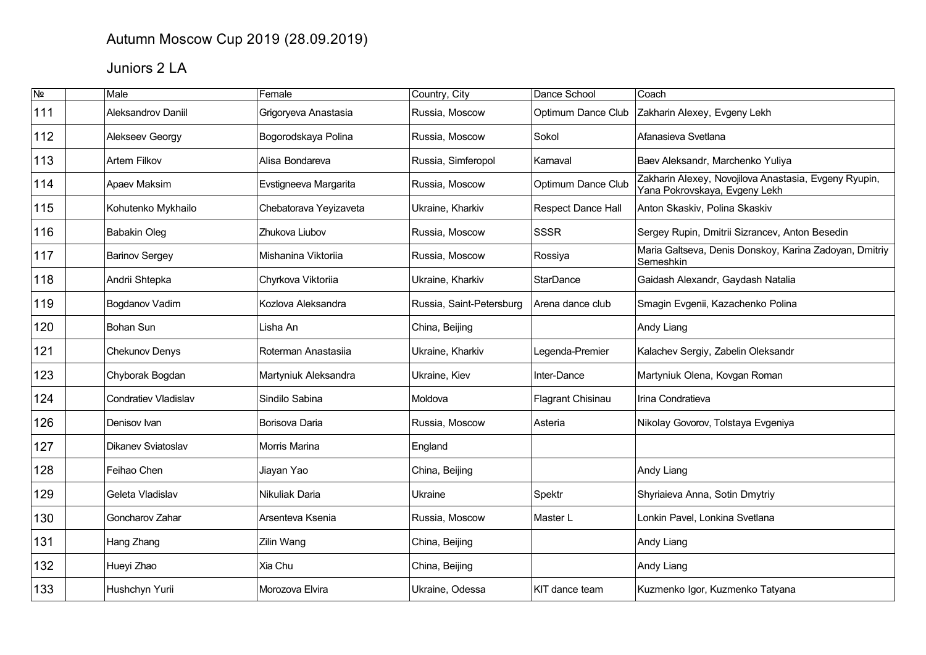## Autumn Moscow Cup 2019 (28.09.2019)

# Juniors 2 LA

| $\overline{\mathsf{N}^{\mathsf{0}}}$ | <b>Male</b>                 | Female                 | Country, City            | Dance School       | Coach                                                                                  |
|--------------------------------------|-----------------------------|------------------------|--------------------------|--------------------|----------------------------------------------------------------------------------------|
| 111                                  | Aleksandrov Daniil          | Grigoryeva Anastasia   | Russia, Moscow           | Optimum Dance Club | Zakharin Alexey, Evgeny Lekh                                                           |
| 112                                  | Alekseev Georgy             | Bogorodskaya Polina    | Russia, Moscow           | Sokol              | Afanasieva Svetlana                                                                    |
| 113                                  | <b>Artem Filkov</b>         | Alisa Bondareva        | Russia, Simferopol       | Karnaval           | Baev Aleksandr, Marchenko Yuliya                                                       |
| 114                                  | Apaev Maksim                | Evstigneeva Margarita  | Russia, Moscow           | Optimum Dance Club | Zakharin Alexey, Novojilova Anastasia, Evgeny Ryupin,<br>Yana Pokrovskaya, Evgeny Lekh |
| 115                                  | Kohutenko Mykhailo          | Chebatorava Yeyizaveta | Ukraine, Kharkiv         | Respect Dance Hall | Anton Skaskiv, Polina Skaskiv                                                          |
| 116                                  | Babakin Oleg                | Zhukova Liubov         | Russia, Moscow           | <b>SSSR</b>        | Sergey Rupin, Dmitrii Sizrancev, Anton Besedin                                         |
| 117                                  | <b>Barinov Sergey</b>       | Mishanina Viktoriia    | Russia, Moscow           | Rossiya            | Maria Galtseva, Denis Donskoy, Karina Zadoyan, Dmitriy<br>Semeshkin                    |
| 118                                  | Andrii Shtepka              | Chyrkova Viktoriia     | Ukraine, Kharkiv         | <b>StarDance</b>   | Gaidash Alexandr, Gaydash Natalia                                                      |
| 119                                  | Bogdanov Vadim              | Kozlova Aleksandra     | Russia, Saint-Petersburg | Arena dance club   | Smagin Evgenii, Kazachenko Polina                                                      |
| 120                                  | <b>Bohan Sun</b>            | Lisha An               | China, Beijing           |                    | Andy Liang                                                                             |
| 121                                  | Chekunov Denys              | Roterman Anastasiia    | Ukraine, Kharkiv         | Legenda-Premier    | Kalachev Sergiy, Zabelin Oleksandr                                                     |
| 123                                  | Chyborak Bogdan             | Martyniuk Aleksandra   | Ukraine, Kiev            | Inter-Dance        | Martyniuk Olena, Kovgan Roman                                                          |
| 124                                  | <b>Condratiev Vladislav</b> | Sindilo Sabina         | Moldova                  | Flagrant Chisinau  | Irina Condratieva                                                                      |
| 126                                  | Denisov Ivan                | Borisova Daria         | Russia, Moscow           | Asteria            | Nikolay Govorov, Tolstaya Evgeniya                                                     |
| 127                                  | Dikanev Sviatoslav          | Morris Marina          | England                  |                    |                                                                                        |
| 128                                  | Feihao Chen                 | Jiayan Yao             | China, Beijing           |                    | Andy Liang                                                                             |
| 129                                  | Geleta Vladislav            | Nikuliak Daria         | Ukraine                  | Spektr             | Shyriaieva Anna, Sotin Dmytriy                                                         |
| 130                                  | Goncharov Zahar             | Arsenteva Ksenia       | Russia, Moscow           | Master L           | Lonkin Pavel, Lonkina Svetlana                                                         |
| 131                                  | Hang Zhang                  | Zilin Wang             | China, Beijing           |                    | Andy Liang                                                                             |
| 132                                  | Hueyi Zhao                  | Xia Chu                | China, Beijing           |                    | Andy Liang                                                                             |
| 133                                  | Hushchyn Yurii              | Morozova Elvira        | Ukraine, Odessa          | KIT dance team     | Kuzmenko Igor, Kuzmenko Tatyana                                                        |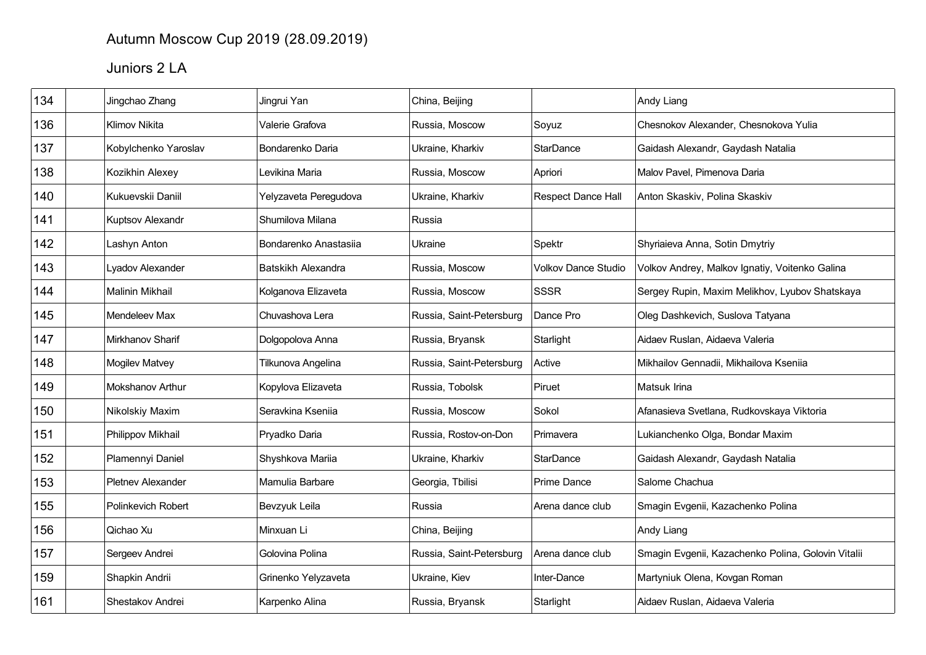## Autumn Moscow Cup 2019 (28.09.2019)

# Juniors 2 LA

| 134 | Jingchao Zhang        | Jingrui Yan           | China, Beijing           |                            | Andy Liang                                         |
|-----|-----------------------|-----------------------|--------------------------|----------------------------|----------------------------------------------------|
| 136 | <b>Klimov Nikita</b>  | Valerie Grafova       | Russia, Moscow           | Soyuz                      | Chesnokov Alexander, Chesnokova Yulia              |
| 137 | Kobylchenko Yaroslav  | Bondarenko Daria      | Ukraine, Kharkiv         | StarDance                  | Gaidash Alexandr, Gaydash Natalia                  |
| 138 | Kozikhin Alexey       | Levikina Maria        | Russia, Moscow           | Apriori                    | Malov Pavel, Pimenova Daria                        |
| 140 | Kukuevskii Daniil     | Yelyzaveta Peregudova | Ukraine, Kharkiv         | <b>Respect Dance Hall</b>  | Anton Skaskiv, Polina Skaskiv                      |
| 141 | Kuptsov Alexandr      | Shumilova Milana      | Russia                   |                            |                                                    |
| 142 | Lashyn Anton          | Bondarenko Anastasiia | Ukraine                  | Spektr                     | Shyriaieva Anna, Sotin Dmytriy                     |
| 143 | Lyadov Alexander      | Batskikh Alexandra    | Russia, Moscow           | <b>Volkov Dance Studio</b> | Volkov Andrey, Malkov Ignatiy, Voitenko Galina     |
| 144 | Malinin Mikhail       | Kolganova Elizaveta   | Russia, Moscow           | <b>SSSR</b>                | Sergey Rupin, Maxim Melikhov, Lyubov Shatskaya     |
| 145 | Mendeleev Max         | Chuvashova Lera       | Russia, Saint-Petersburg | Dance Pro                  | Oleg Dashkevich, Suslova Tatyana                   |
| 147 | Mirkhanov Sharif      | Dolgopolova Anna      | Russia, Bryansk          | Starlight                  | Aidaev Ruslan, Aidaeva Valeria                     |
| 148 | <b>Mogilev Matvey</b> | Tilkunova Angelina    | Russia, Saint-Petersburg | Active                     | Mikhailov Gennadii, Mikhailova Kseniia             |
| 149 | Mokshanov Arthur      | Kopylova Elizaveta    | Russia, Tobolsk          | Piruet                     | Matsuk Irina                                       |
| 150 | Nikolskiy Maxim       | Seravkina Kseniia     | Russia, Moscow           | Sokol                      | Afanasieva Svetlana, Rudkovskaya Viktoria          |
| 151 | Philippov Mikhail     | Pryadko Daria         | Russia, Rostov-on-Don    | Primavera                  | Lukianchenko Olga, Bondar Maxim                    |
| 152 | Plamennyi Daniel      | Shyshkova Mariia      | Ukraine, Kharkiv         | <b>StarDance</b>           | Gaidash Alexandr, Gaydash Natalia                  |
| 153 | Pletnev Alexander     | Mamulia Barbare       | Georgia, Tbilisi         | Prime Dance                | Salome Chachua                                     |
| 155 | Polinkevich Robert    | Bevzyuk Leila         | Russia                   | Arena dance club           | Smagin Evgenii, Kazachenko Polina                  |
| 156 | Qichao Xu             | Minxuan Li            | China, Beijing           |                            | Andy Liang                                         |
| 157 | Sergeev Andrei        | Golovina Polina       | Russia, Saint-Petersburg | Arena dance club           | Smagin Evgenii, Kazachenko Polina, Golovin Vitalii |
| 159 | Shapkin Andrii        | Grinenko Yelyzaveta   | Ukraine, Kiev            | Inter-Dance                | Martyniuk Olena, Kovgan Roman                      |
| 161 | Shestakov Andrei      | Karpenko Alina        | Russia, Bryansk          | Starlight                  | Aidaev Ruslan, Aidaeva Valeria                     |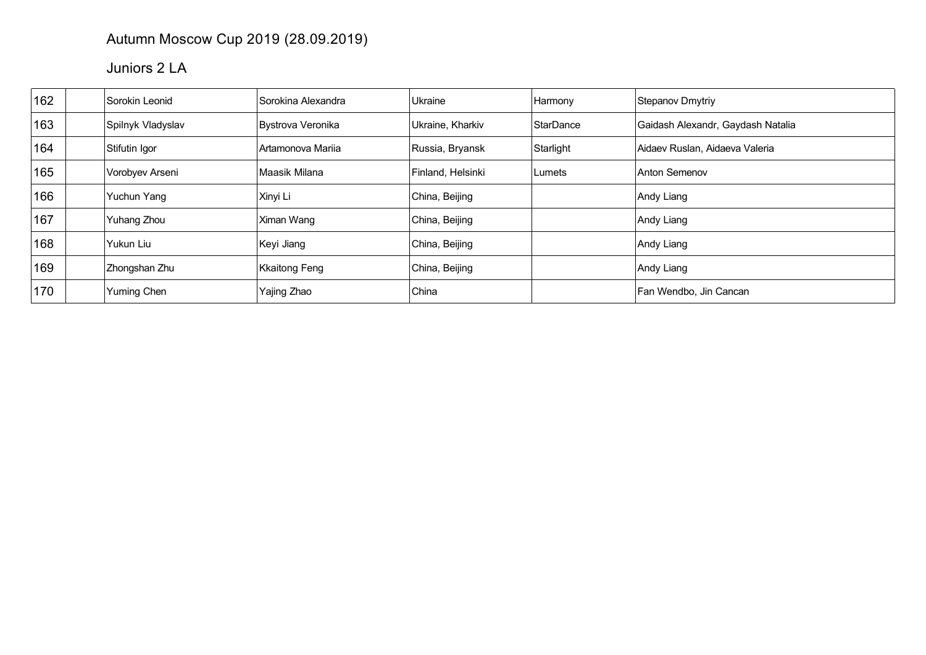## Autumn Moscow Cup 2019 (28.09.2019)

## Juniors 2 LA

| 162 | Sorokin Leonid    | Sorokina Alexandra | Ukraine           | Harmony   | Stepanov Dmytriy                  |
|-----|-------------------|--------------------|-------------------|-----------|-----------------------------------|
| 163 | Spilnyk Vladyslav | Bystrova Veronika  | Ukraine, Kharkiv  | StarDance | Gaidash Alexandr, Gaydash Natalia |
| 164 | Stifutin Igor     | ∣Artamonova Mariia | Russia, Bryansk   | Starlight | Aidaev Ruslan, Aidaeva Valeria    |
| 165 | Vorobyev Arseni   | ∣Maasik Milana     | Finland, Helsinki | Lumets    | Anton Semenov                     |
| 166 | Yuchun Yang       | Xinyi Li           | China, Beijing    |           | Andy Liang                        |
| 167 | Yuhang Zhou       | Ximan Wang         | China, Beijing    |           | Andy Liang                        |
| 168 | Yukun Liu         | Keyi Jiang         | China, Beijing    |           | Andy Liang                        |
| 169 | Zhongshan Zhu     | Kkaitong Feng      | China, Beijing    |           | Andy Liang                        |
| 170 | Yuming Chen       | Yajing Zhao        | China             |           | Fan Wendbo, Jin Cancan            |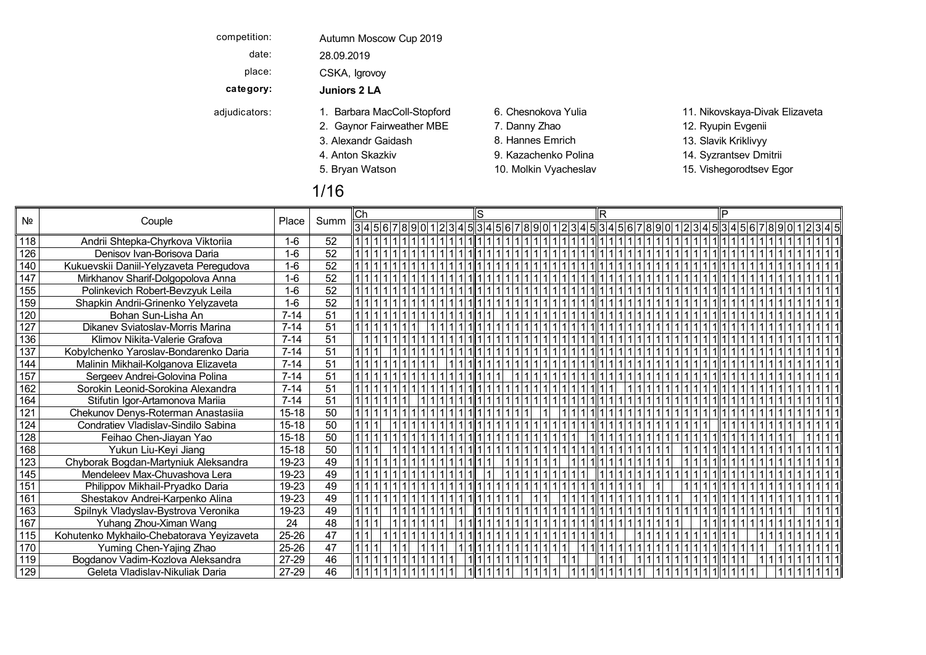| competition:  | Autumn Moscow Cup 2019      |                       |                                |
|---------------|-----------------------------|-----------------------|--------------------------------|
| date:         | 28.09.2019                  |                       |                                |
| place:        | CSKA, Igrovoy               |                       |                                |
| category:     | Juniors 2 LA                |                       |                                |
| adjudicators: | 1. Barbara MacColl-Stopford | 6. Chesnokova Yulia   | 11. Nikovskaya-Divak Elizaveta |
|               | 2. Gaynor Fairweather MBE   | 7. Danny Zhao         | 12. Ryupin Evgenii             |
|               | 3. Alexandr Gaidash         | 8. Hannes Emrich      | 13. Slavik Kriklivyy           |
|               | 4. Anton Skazkiv            | 9. Kazachenko Polina  | 14. Syzrantsev Dmitrii         |
|               | 5. Bryan Watson             | 10. Molkin Vyacheslav | 15. Vishegorodtsev Egor        |
|               | 1/16                        |                       |                                |

|     |                                           |           |                 | ∣Ch |                                                           |  |  |  |  |  |  |  |  |  |  |
|-----|-------------------------------------------|-----------|-----------------|-----|-----------------------------------------------------------|--|--|--|--|--|--|--|--|--|--|
| Nº  | Couple                                    | Place     | Summ            |     | 345678901234567890123456789012345345878901234589012345345 |  |  |  |  |  |  |  |  |  |  |
| 118 | Andrii Shtepka-Chyrkova Viktoriia         | $1 - 6$   | $\overline{52}$ |     |                                                           |  |  |  |  |  |  |  |  |  |  |
| 126 | Denisov Ivan-Borisova Daria               | $1-6$     | 52              |     |                                                           |  |  |  |  |  |  |  |  |  |  |
| 140 | Kukuevskii Daniil-Yelyzaveta Peregudova   | $1-6$     | 52              |     |                                                           |  |  |  |  |  |  |  |  |  |  |
| 147 | Mirkhanov Sharif-Dolgopolova Anna         | $1-6$     | 52              |     |                                                           |  |  |  |  |  |  |  |  |  |  |
| 155 | Polinkevich Robert-Bevzyuk Leila          | $1-6$     | 52              |     |                                                           |  |  |  |  |  |  |  |  |  |  |
| 159 | Shapkin Andrii-Grinenko Yelyzaveta        | $1-6$     | 52              |     |                                                           |  |  |  |  |  |  |  |  |  |  |
| 120 | Bohan Sun-Lisha An                        | $7 - 14$  | 51              |     |                                                           |  |  |  |  |  |  |  |  |  |  |
| 127 | Dikanev Sviatoslav-Morris Marina          | $7 - 14$  | 51              |     |                                                           |  |  |  |  |  |  |  |  |  |  |
| 136 | Klimov Nikita-Valerie Grafova             | $7 - 14$  | 51              |     |                                                           |  |  |  |  |  |  |  |  |  |  |
| 137 | Kobylchenko Yaroslav-Bondarenko Daria     | $7 - 14$  | 51              |     |                                                           |  |  |  |  |  |  |  |  |  |  |
| 144 | Malinin Mikhail-Kolganova Elizaveta       | $7 - 14$  | 51              |     |                                                           |  |  |  |  |  |  |  |  |  |  |
| 157 | Sergeev Andrei-Golovina Polina            | $7 - 14$  | 51              |     |                                                           |  |  |  |  |  |  |  |  |  |  |
| 162 | Sorokin Leonid-Sorokina Alexandra         | $7 - 14$  | 51              |     |                                                           |  |  |  |  |  |  |  |  |  |  |
| 164 | Stifutin Igor-Artamonova Mariia           | $7 - 14$  | 51              |     |                                                           |  |  |  |  |  |  |  |  |  |  |
| 121 | Chekunov Denys-Roterman Anastasiia        | $15 - 18$ | 50              |     |                                                           |  |  |  |  |  |  |  |  |  |  |
| 124 | Condratiev Vladislav-Sindilo Sabina       | $15 - 18$ | 50              |     |                                                           |  |  |  |  |  |  |  |  |  |  |
| 128 | Feihao Chen-Jiayan Yao                    | $15 - 18$ | 50              |     |                                                           |  |  |  |  |  |  |  |  |  |  |
| 168 | Yukun Liu-Keyi Jiang                      | $15 - 18$ | 50              |     |                                                           |  |  |  |  |  |  |  |  |  |  |
| 123 | Chyborak Bogdan-Martyniuk Aleksandra      | 19-23     | 49              |     |                                                           |  |  |  |  |  |  |  |  |  |  |
| 145 | Mendeleev Max-Chuvashova Lera             | 19-23     | 49              |     |                                                           |  |  |  |  |  |  |  |  |  |  |
| 151 | Philippov Mikhail-Pryadko Daria           | 19-23     | 49              |     |                                                           |  |  |  |  |  |  |  |  |  |  |
| 161 | Shestakov Andrei-Karpenko Alina           | 19-23     | 49              |     |                                                           |  |  |  |  |  |  |  |  |  |  |
| 163 | Spilnyk Vladyslav-Bystrova Veronika       | 19-23     | 49              |     |                                                           |  |  |  |  |  |  |  |  |  |  |
| 167 | Yuhang Zhou-Ximan Wang                    | 24        | 48              |     |                                                           |  |  |  |  |  |  |  |  |  |  |
| 115 | Kohutenko Mykhailo-Chebatorava Yeyizaveta | 25-26     | 47              |     |                                                           |  |  |  |  |  |  |  |  |  |  |
| 170 | Yuming Chen-Yajing Zhao                   | 25-26     | $\overline{47}$ |     |                                                           |  |  |  |  |  |  |  |  |  |  |
| 119 | Bogdanov Vadim-Kozlova Aleksandra         | 27-29     | 46              |     |                                                           |  |  |  |  |  |  |  |  |  |  |
| 129 | Geleta Vladislav-Nikuliak Daria           | 27-29     | 46              |     |                                                           |  |  |  |  |  |  |  |  |  |  |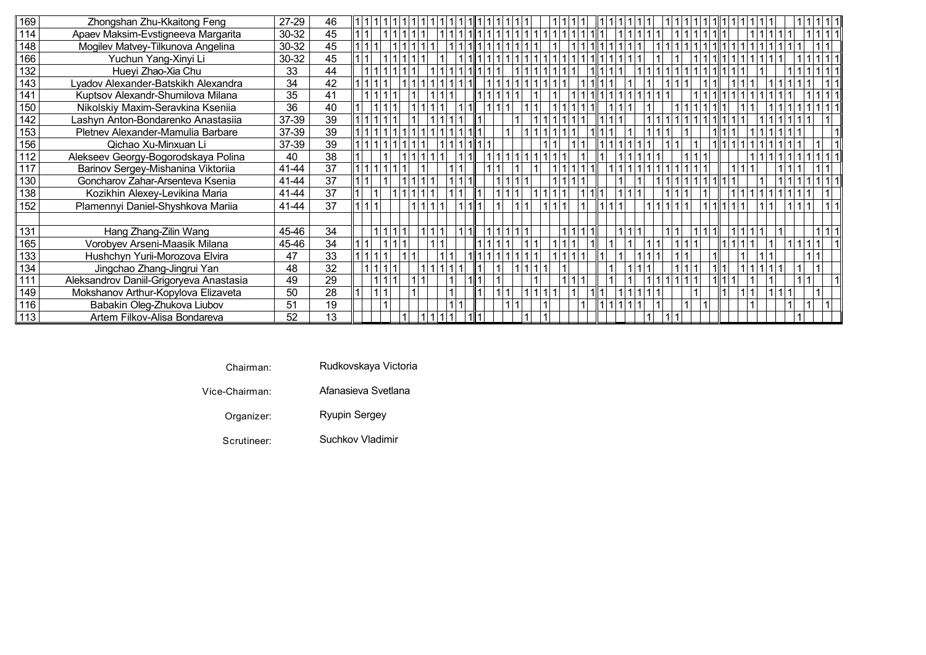| 169  | Zhongshan Zhu-Kkaitong Feng             | 27-29           | 46              |  |             |  |  |  |  |  |  |  |  |  |  |  |  |  |  |
|------|-----------------------------------------|-----------------|-----------------|--|-------------|--|--|--|--|--|--|--|--|--|--|--|--|--|--|
| 114, | Apaev Maksim-Evstigneeva Margarita      | 30-32           | 45              |  |             |  |  |  |  |  |  |  |  |  |  |  |  |  |  |
| 148  | Mogilev Matvey-Tilkunova Angelina       | 30-32           | 45              |  | 1 1 1 1 1 1 |  |  |  |  |  |  |  |  |  |  |  |  |  |  |
| 166  | Yuchun Yang-Xinyi Li                    | 30-32           | 45              |  |             |  |  |  |  |  |  |  |  |  |  |  |  |  |  |
| 132  | Hueyi Zhao-Xia Chu                      | 33              | 44              |  |             |  |  |  |  |  |  |  |  |  |  |  |  |  |  |
| 143  | Lyadov Alexander-Batskikh Alexandra     | 34              | 42              |  |             |  |  |  |  |  |  |  |  |  |  |  |  |  |  |
| 141  | Kuptsov Alexandr-Shumilova Milana       | 35              | 41              |  |             |  |  |  |  |  |  |  |  |  |  |  |  |  |  |
| 150  | Nikolskiy Maxim-Seravkina Kseniia       | $\overline{36}$ | 40              |  |             |  |  |  |  |  |  |  |  |  |  |  |  |  |  |
| 142  | Lashyn Anton-Bondarenko Anastasiia      | 37-39           | 39              |  |             |  |  |  |  |  |  |  |  |  |  |  |  |  |  |
| 153  | Pletnev Alexander-Mamulia Barbare       | 37-39           | 39              |  |             |  |  |  |  |  |  |  |  |  |  |  |  |  |  |
| 156  | Qichao Xu-Minxuan Li                    | 37-39           | 39              |  |             |  |  |  |  |  |  |  |  |  |  |  |  |  |  |
| 112  | Alekseev Georgy-Bogorodskaya Polina     | 40              | 38              |  |             |  |  |  |  |  |  |  |  |  |  |  |  |  |  |
| 117  | Barinov Sergey-Mishanina Viktoriia      | 41-44           | 37              |  |             |  |  |  |  |  |  |  |  |  |  |  |  |  |  |
| 130  | Goncharov Zahar-Arsenteva Ksenia        | 41-44           | 37              |  |             |  |  |  |  |  |  |  |  |  |  |  |  |  |  |
| 138  | Kozikhin Alexey-Levikina Maria          | 41-44           | $\overline{37}$ |  |             |  |  |  |  |  |  |  |  |  |  |  |  |  |  |
| 152  | Plamennyi Daniel-Shyshkova Mariia       | 41-44           | 37              |  |             |  |  |  |  |  |  |  |  |  |  |  |  |  |  |
|      |                                         |                 |                 |  |             |  |  |  |  |  |  |  |  |  |  |  |  |  |  |
| 131  | Hang Zhang-Zilin Wang                   | 45-46           | 34              |  |             |  |  |  |  |  |  |  |  |  |  |  |  |  |  |
| 165  | Vorobyev Arseni-Maasik Milana           | 45-46           | 34              |  |             |  |  |  |  |  |  |  |  |  |  |  |  |  |  |
| 133  | Hushchyn Yurii-Morozova Elvira          | 47              | 33              |  |             |  |  |  |  |  |  |  |  |  |  |  |  |  |  |
| 134  | Jingchao Zhang-Jingrui Yan              | 48              | 32              |  |             |  |  |  |  |  |  |  |  |  |  |  |  |  |  |
| 111  | Aleksandrov Daniil-Grigoryeva Anastasia | 49              | 29              |  |             |  |  |  |  |  |  |  |  |  |  |  |  |  |  |
| 149  | Mokshanov Arthur-Kopylova Elizaveta     | 50              | 28              |  |             |  |  |  |  |  |  |  |  |  |  |  |  |  |  |
| 116  | Babakin Oleg-Zhukova Liubov             | 51              | 19              |  |             |  |  |  |  |  |  |  |  |  |  |  |  |  |  |
| 113  | Artem Filkov-Alisa Bondareva            | 52              | 13              |  |             |  |  |  |  |  |  |  |  |  |  |  |  |  |  |

- **Chairman**
- Rudkovskaya Victoria
- Vice-Chairman
	- Organizer Ryupin Sergey
	- Scrutineer
- Suchkov Vladimir

Afanasieva Svetlana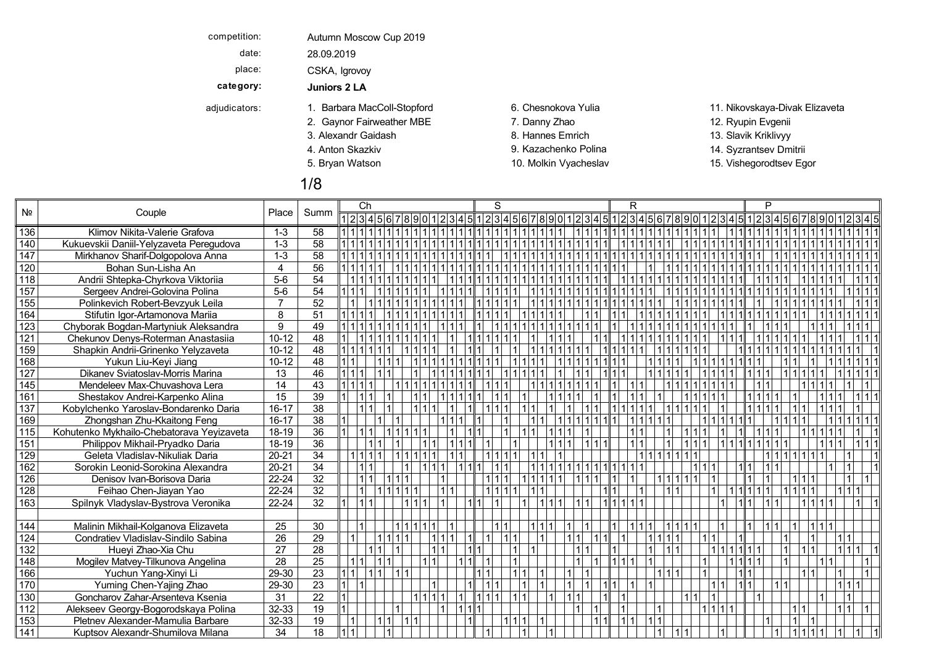| competition:  | Autumn Moscow Cup 2019      |                       |                                |
|---------------|-----------------------------|-----------------------|--------------------------------|
| date:         | 28.09.2019                  |                       |                                |
| place:        | CSKA, Igrovoy               |                       |                                |
| category:     | Juniors 2 LA                |                       |                                |
| adjudicators: | 1. Barbara MacColl-Stopford | 6. Chesnokova Yulia   | 11. Nikovskaya-Divak Elizaveta |
|               | 2. Gaynor Fairweather MBE   | 7. Danny Zhao         | 12. Ryupin Evgenii             |
|               | 3. Alexandr Gaidash         | 8. Hannes Emrich      | 13. Slavik Kriklivyy           |
|               | 4. Anton Skazkiv            | 9. Kazachenko Polina  | 14. Syzrantsev Dmitrii         |
|               | 5. Bryan Watson             | 10. Molkin Vyacheslav | 15. Vishegorodtsev Egor        |
|               |                             |                       |                                |

# 1/8

|     |                                           |                | Summ            | Ch                     | S     | R                                                 |       |  |
|-----|-------------------------------------------|----------------|-----------------|------------------------|-------|---------------------------------------------------|-------|--|
| Nº  | Couple                                    | Place          |                 | 123456789              |       | $ 2 3 4 5 6 7 8 9 0 1 2 3 4 5 1 2 3 4 5 6 7 8 9 $ |       |  |
| 136 | Klimov Nikita-Valerie Grafova             | $1 - 3$        | $\overline{58}$ |                        |       |                                                   |       |  |
| 140 | Kukuevskii Daniil-Yelyzaveta Peregudova   | $1 - 3$        | 58              |                        |       |                                                   |       |  |
| 147 | Mirkhanov Sharif-Dolgopolova Anna         | $1 - 3$        | 58              |                        |       |                                                   |       |  |
| 120 | Bohan Sun-Lisha An                        | 4              | 56              |                        |       |                                                   |       |  |
| 118 | Andrii Shtepka-Chyrkova Viktoriia         | $5-6$          | 54              |                        |       |                                                   |       |  |
| 157 | Sergeev Andrei-Golovina Polina            | $5-6$          | 54              |                        |       |                                                   |       |  |
| 155 | Polinkevich Robert-Bevzyuk Leila          | $\overline{7}$ | 52              |                        |       |                                                   |       |  |
| 164 | Stifutin Igor-Artamonova Mariia           | 8              | 51              |                        |       |                                                   |       |  |
| 123 | Chyborak Bogdan-Martyniuk Aleksandra      | 9              | 49              |                        |       |                                                   |       |  |
| 121 | Chekunov Denys-Roterman Anastasiia        | $10 - 12$      | 48              |                        |       |                                                   |       |  |
| 159 | Shapkin Andrii-Grinenko Yelyzaveta        | $10-12$        | 48              |                        |       |                                                   |       |  |
| 168 | Yukun Liu-Keyi Jiang                      | $10 - 12$      | 48              |                        |       |                                                   |       |  |
| 127 | Dikanev Sviatoslav-Morris Marina          | 13             | 46              | 1 1 1 1                |       |                                                   |       |  |
| 145 | Mendeleev Max-Chuvashova Lera             | 14             | 43              | 1   1   1   1          |       |                                                   |       |  |
| 161 | Shestakov Andrei-Karpenko Alina           | 15             | 39              | 111                    |       |                                                   |       |  |
| 137 | Kobylchenko Yaroslav-Bondarenko Daria     | $16 - 17$      | 38              | 1 1                    |       |                                                   |       |  |
| 169 | Zhongshan Zhu-Kkaitong Feng               | $16 - 17$      | 38              |                        |       |                                                   |       |  |
| 115 | Kohutenko Mykhailo-Chebatorava Yeyizaveta | 18-19          | 36              | 1 1                    |       |                                                   |       |  |
| 151 | Philippov Mikhail-Pryadko Daria           | 18-19          | 36              | 1                      |       | 1111                                              |       |  |
| 129 | Geleta Vladislav-Nikuliak Daria           | $20 - 21$      | 34              | 1 1 1                  |       |                                                   |       |  |
| 162 | Sorokin Leonid-Sorokina Alexandra         | $20 - 21$      | 34              | 1111                   |       |                                                   | 111   |  |
| 126 | Denisov Ivan-Borisova Daria               | 22-24          | 32              | 111                    |       | 1111                                              |       |  |
| 128 | Feihao Chen-Jiayan Yao                    | 22-24          | $\overline{32}$ |                        |       |                                                   |       |  |
| 163 | Spilnyk Vladyslav-Bystrova Veronika       | $22 - 24$      | 32              |                        | 111   | 1111111                                           | 1 1 1 |  |
|     |                                           |                |                 |                        |       |                                                   |       |  |
| 144 | Malinin Mikhail-Kolganova Elizaveta       | 25             | 30              |                        |       |                                                   |       |  |
| 124 | Condratiev Vladislav-Sindilo Sabina       | 26             | 29              |                        |       |                                                   |       |  |
| 132 | Hueyi Zhao-Xia Chu                        | 27             | 28              |                        |       |                                                   |       |  |
| 148 | Mogilev Matvey-Tilkunova Angelina         | 28             | 25              | 111                    |       |                                                   |       |  |
| 166 | Yuchun Yang-Xinyi Li                      | 29-30          | 23              | 1   1                  |       |                                                   |       |  |
| 170 | Yuming Chen-Yajing Zhao                   | 29-30          | 23              |                        |       |                                                   |       |  |
| 130 | Goncharov Zahar-Arsenteva Ksenia          | 31             | 22              | 111111                 | 1 1 1 | 11                                                | 111   |  |
| 112 | Alekseev Georgy-Bogorodskaya Polina       | 32-33          | 19              |                        |       | 11                                                | 11111 |  |
| 153 | Pletnev Alexander-Mamulia Barbare         | 32-33          | 19              | $\overline{1}$<br>1111 |       | 1 1                                               | l 1 l |  |
| 141 | Kuptsov Alexandr-Shumilova Milana         | 34             | $\overline{18}$ |                        |       |                                                   |       |  |
|     |                                           |                |                 |                        |       |                                                   |       |  |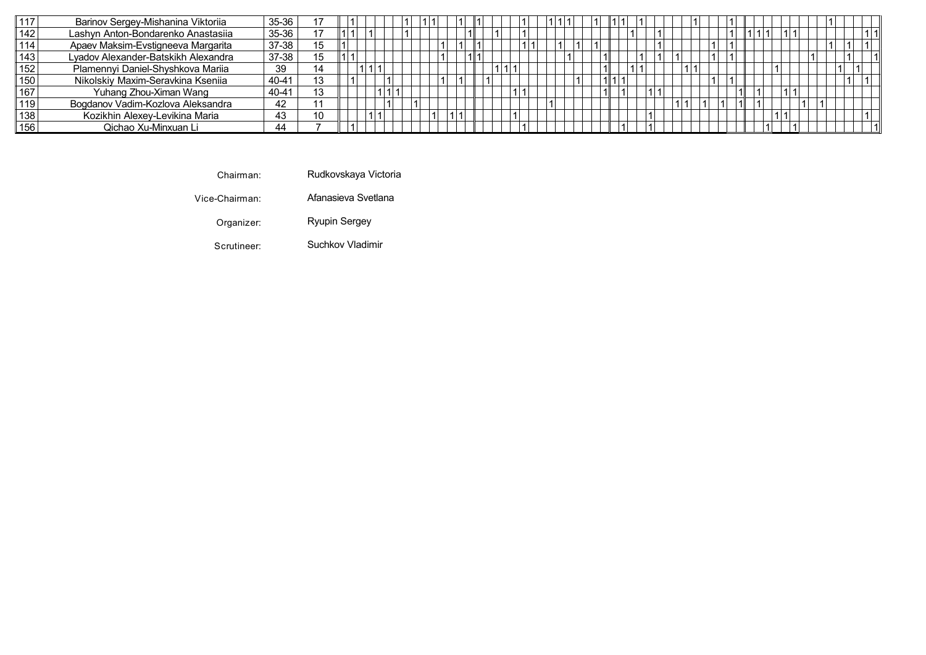|     | Barinov Sergey-Mishanina Viktoriia  | 35-36 |    |  |  |  |  |  |  |  |  |  |  |  |  |  |  |  |  |  |
|-----|-------------------------------------|-------|----|--|--|--|--|--|--|--|--|--|--|--|--|--|--|--|--|--|
|     | Lashyn Anton-Bondarenko Anastasiia  | 35-36 |    |  |  |  |  |  |  |  |  |  |  |  |  |  |  |  |  |  |
|     | Apaev Maksim-Evstigneeva Margarita  | 37-38 | 15 |  |  |  |  |  |  |  |  |  |  |  |  |  |  |  |  |  |
|     | Lyadov Alexander-Batskikh Alexandra | 37-38 | 15 |  |  |  |  |  |  |  |  |  |  |  |  |  |  |  |  |  |
| 152 | Plamennyi Daniel-Shyshkova Mariia   | 39    | 14 |  |  |  |  |  |  |  |  |  |  |  |  |  |  |  |  |  |
|     | Nikolskiy Maxim-Seravkina Kseniia   | 40-41 | 13 |  |  |  |  |  |  |  |  |  |  |  |  |  |  |  |  |  |
| 167 | Yuhang Zhou-Ximan Wang              | 40-41 | 13 |  |  |  |  |  |  |  |  |  |  |  |  |  |  |  |  |  |
|     | Bogdanov Vadim-Kozlova Aleksandra   | 42    |    |  |  |  |  |  |  |  |  |  |  |  |  |  |  |  |  |  |
| 138 | Kozikhin Alexey-Levikina Maria      | 43    | 10 |  |  |  |  |  |  |  |  |  |  |  |  |  |  |  |  |  |
| 156 | Qichao Xu-Minxuan Li                | 44    |    |  |  |  |  |  |  |  |  |  |  |  |  |  |  |  |  |  |

C h air m a Rudkovskaya Victoria

Vice-Chairma Afanasieva Svetlana

> Organize r: Ryupin Sergey Bryan Molecules of  $R$  watson  $R$  watson  $R$  watson  $R$  watson  $R$  watson  $R$  watson  $R$

Scrutinee Suchkov Vladimir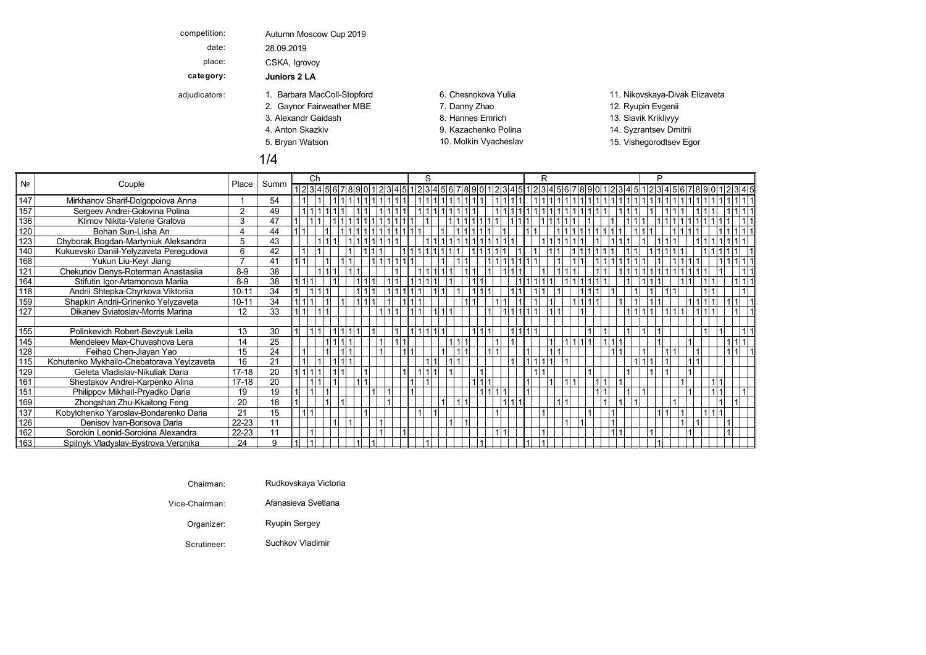| competition:  | Autumn Moscow Cup 2019      |                       |                                |
|---------------|-----------------------------|-----------------------|--------------------------------|
| date:         | 28.09.2019                  |                       |                                |
| place:        | CSKA, Igrovoy               |                       |                                |
| category:     | Juniors 2 LA                |                       |                                |
| adjudicators: | 1. Barbara MacColl-Stopford | 6. Chesnokova Yulia   | 11. Nikovskaya-Divak Elizaveta |
|               | 2. Gaynor Fairweather MBE   | 7. Danny Zhao         | 12. Ryupin Evgenii             |
|               | 3. Alexandr Gaidash         | 8. Hannes Emrich      | 13. Slavik Kriklivyy           |
|               | 4. Anton Skazkiv            | 9. Kazachenko Polina  | 14. Syzrantsev Dmitrii         |
|               | 5. Bryan Watson             | 10. Molkin Vyacheslav | 15. Vishegorodtsev Egor        |
|               | 1/4                         |                       |                                |

|     |                                           |                |      | Ch |  |  |  |  | S                                                                                                  |  |  |  | R |  |  |  |  |  |  |  |  |
|-----|-------------------------------------------|----------------|------|----|--|--|--|--|----------------------------------------------------------------------------------------------------|--|--|--|---|--|--|--|--|--|--|--|--|
| Nº  | Couple                                    | Place          | Summ |    |  |  |  |  | 123456789012345 12345 12345 12345 12345 12345 12345 12345 12345 12345 12345 12345 12345 12345 1234 |  |  |  |   |  |  |  |  |  |  |  |  |
| 147 | Mirkhanov Sharif-Dolgopolova Anna         |                | 54   |    |  |  |  |  |                                                                                                    |  |  |  |   |  |  |  |  |  |  |  |  |
| 157 | Sergeev Andrei-Golovina Polina            | 2              | 49   |    |  |  |  |  |                                                                                                    |  |  |  |   |  |  |  |  |  |  |  |  |
| 136 | Klimov Nikita-Valerie Grafova             | 3              | 47   |    |  |  |  |  |                                                                                                    |  |  |  |   |  |  |  |  |  |  |  |  |
| 120 | Bohan Sun-Lisha An                        |                | 44   |    |  |  |  |  |                                                                                                    |  |  |  |   |  |  |  |  |  |  |  |  |
| 123 | Chyborak Bogdan-Martyniuk Aleksandra      | 5              | 43   |    |  |  |  |  |                                                                                                    |  |  |  |   |  |  |  |  |  |  |  |  |
| 140 | Kukuevskii Daniil-Yelyzaveta Peregudova   | 6              | 42   |    |  |  |  |  |                                                                                                    |  |  |  |   |  |  |  |  |  |  |  |  |
| 168 | Yukun Liu-Keyi Jiang                      | $\overline{7}$ | 41   |    |  |  |  |  |                                                                                                    |  |  |  |   |  |  |  |  |  |  |  |  |
| 121 | Chekunov Denys-Roterman Anastasiia        | $8-9$          | 38   |    |  |  |  |  |                                                                                                    |  |  |  |   |  |  |  |  |  |  |  |  |
| 164 | Stifutin Igor-Artamonova Mariia           | $8-9$          | 38   |    |  |  |  |  |                                                                                                    |  |  |  |   |  |  |  |  |  |  |  |  |
| 118 | Andrii Shtepka-Chyrkova Viktoriia         | $10 - 11$      | 34   |    |  |  |  |  |                                                                                                    |  |  |  |   |  |  |  |  |  |  |  |  |
| 159 | Shapkin Andrii-Grinenko Yelyzaveta        | $10 - 11$      | 34   |    |  |  |  |  |                                                                                                    |  |  |  |   |  |  |  |  |  |  |  |  |
| 127 | Dikanev Sviatoslav-Morris Marina          | 12             | 33   |    |  |  |  |  |                                                                                                    |  |  |  |   |  |  |  |  |  |  |  |  |
|     |                                           |                |      |    |  |  |  |  |                                                                                                    |  |  |  |   |  |  |  |  |  |  |  |  |
| 155 | Polinkevich Robert-Bevzyuk Leila          | 13             | 30   |    |  |  |  |  |                                                                                                    |  |  |  |   |  |  |  |  |  |  |  |  |
| 145 | Mendeleev Max-Chuvashova Lera             | 14             | 25   |    |  |  |  |  |                                                                                                    |  |  |  |   |  |  |  |  |  |  |  |  |
| 128 | Feihao Chen-Jiayan Yao                    | 15             | 24   |    |  |  |  |  |                                                                                                    |  |  |  |   |  |  |  |  |  |  |  |  |
| 115 | Kohutenko Mykhailo-Chebatorava Yeyizaveta | 16             | 21   |    |  |  |  |  |                                                                                                    |  |  |  |   |  |  |  |  |  |  |  |  |
| 129 | Geleta Vladislav-Nikuliak Daria           | $17-18$        | 20   |    |  |  |  |  |                                                                                                    |  |  |  |   |  |  |  |  |  |  |  |  |
| 161 | Shestakov Andrei-Karpenko Alina           | $17-18$        | 20   |    |  |  |  |  |                                                                                                    |  |  |  |   |  |  |  |  |  |  |  |  |
| 151 | Philippov Mikhail-Pryadko Daria           | 19             | 19   |    |  |  |  |  |                                                                                                    |  |  |  |   |  |  |  |  |  |  |  |  |
| 169 | Zhongshan Zhu-Kkaitong Feng               | 20             | 18   |    |  |  |  |  |                                                                                                    |  |  |  |   |  |  |  |  |  |  |  |  |
| 137 | Kobylchenko Yaroslav-Bondarenko Daria     | 21             | 15   |    |  |  |  |  |                                                                                                    |  |  |  |   |  |  |  |  |  |  |  |  |
| 126 | Denisov Ivan-Borisova Daria               | 22-23          | 11   |    |  |  |  |  |                                                                                                    |  |  |  |   |  |  |  |  |  |  |  |  |
| 162 | Sorokin Leonid-Sorokina Alexandra         | 22-23          | 11   |    |  |  |  |  |                                                                                                    |  |  |  |   |  |  |  |  |  |  |  |  |
| 163 | Spilnyk Vladyslav-Bystrova Veronika       | 24             | 9    |    |  |  |  |  |                                                                                                    |  |  |  |   |  |  |  |  |  |  |  |  |

| Chairman: | Rudkovskaya Victoria<br>$\mathcal{L}$ . The state of the state of the state of the state of the state of the state of the state of the state of the state of the state of the state of the state of the state of the state of the state of the state of th |  |  |  |  |
|-----------|------------------------------------------------------------------------------------------------------------------------------------------------------------------------------------------------------------------------------------------------------------|--|--|--|--|
|-----------|------------------------------------------------------------------------------------------------------------------------------------------------------------------------------------------------------------------------------------------------------------|--|--|--|--|

Vice-Chairman: Afanasieva Svetlana

Organizer: Ryupin Sergey Bryan Molecules and Molecules and Watson Visit Visit Visit Visit Visit Visit Visit Vi

 $\equiv$ 

Scrutineer: Suchkov Vladimir Samba Samba Samba Samba Samba Samba Samba Samba Samba Samba Samba Samba Samba Sam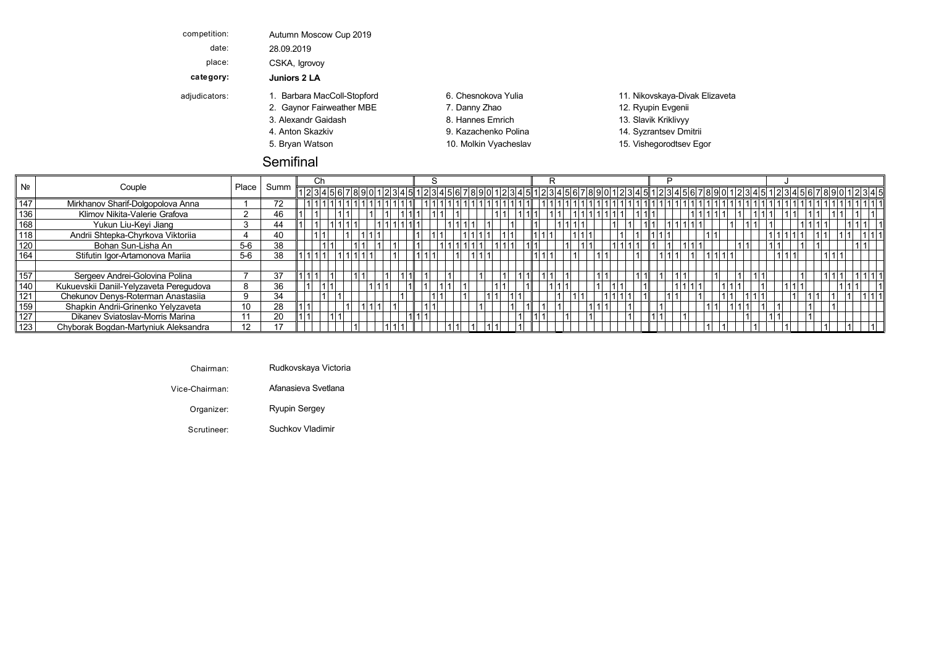| competition:  | Autumn Moscow Cup 2019      |                       |                                |
|---------------|-----------------------------|-----------------------|--------------------------------|
| date:         | 28.09.2019                  |                       |                                |
| place:        | CSKA, Igrovoy               |                       |                                |
| category:     | Juniors 2 LA                |                       |                                |
| adjudicators: | 1. Barbara MacColl-Stopford | 6. Chesnokova Yulia   | 11. Nikovskaya-Divak Elizaveta |
|               | 2. Gaynor Fairweather MBE   | 7. Danny Zhao         | 12. Ryupin Evgenii             |
|               | 3. Alexandr Gaidash         | 8. Hannes Emrich      | 13. Slavik Kriklivyy           |
|               | 4. Anton Skazkiv            | 9. Kazachenko Polina  | 14. Syzrantsev Dmitrii         |
|               | 5. Bryan Watson             | 10. Molkin Vyacheslav | 15. Vishegorodtsev Egor        |
|               |                             |                       |                                |

#### Semifinal

| N <sub>2</sub> |                                         |              |      | Ü                                                                                                    |  |  |  |  |  |  |  |  |  |  |  |  |  |  |  |  |  |
|----------------|-----------------------------------------|--------------|------|------------------------------------------------------------------------------------------------------|--|--|--|--|--|--|--|--|--|--|--|--|--|--|--|--|--|
|                | Couple                                  | <b>Place</b> | Summ | 1234567890123451234567890123456789012345678901234567890123456789012345678901234567890123456789012345 |  |  |  |  |  |  |  |  |  |  |  |  |  |  |  |  |  |
| 147            | Mirkhanov Sharif-Dolgopolova Anna       |              | 72   |                                                                                                      |  |  |  |  |  |  |  |  |  |  |  |  |  |  |  |  |  |
| 136            | Klimov Nikita-Valerie Grafova           |              | 46   |                                                                                                      |  |  |  |  |  |  |  |  |  |  |  |  |  |  |  |  |  |
| 168            | Yukun Liu-Keyi Jiang                    |              | 44   |                                                                                                      |  |  |  |  |  |  |  |  |  |  |  |  |  |  |  |  |  |
| 118            | Andrii Shtepka-Chyrkova Viktoriia       |              | 40   |                                                                                                      |  |  |  |  |  |  |  |  |  |  |  |  |  |  |  |  |  |
| 120            | Bohan Sun-Lisha An                      | $5-6$        | 38   |                                                                                                      |  |  |  |  |  |  |  |  |  |  |  |  |  |  |  |  |  |
| 164            | Stifutin Igor-Artamonova Mariia         | $5-6$        | 38   |                                                                                                      |  |  |  |  |  |  |  |  |  |  |  |  |  |  |  |  |  |
|                |                                         |              |      |                                                                                                      |  |  |  |  |  |  |  |  |  |  |  |  |  |  |  |  |  |
| 157            | Sergeev Andrei-Golovina Polina          |              | 37   |                                                                                                      |  |  |  |  |  |  |  |  |  |  |  |  |  |  |  |  |  |
| 140            | Kukuevskii Daniil-Yelyzaveta Peregudova |              | 36   |                                                                                                      |  |  |  |  |  |  |  |  |  |  |  |  |  |  |  |  |  |
| 121            | Chekunov Denys-Roterman Anastasiia      |              | 34   |                                                                                                      |  |  |  |  |  |  |  |  |  |  |  |  |  |  |  |  |  |
| 159            | Shapkin Andrii-Grinenko Yelyzaveta      |              | 28   |                                                                                                      |  |  |  |  |  |  |  |  |  |  |  |  |  |  |  |  |  |
| 127            | Dikanev Sviatoslav-Morris Marina        |              | 20   |                                                                                                      |  |  |  |  |  |  |  |  |  |  |  |  |  |  |  |  |  |
| 123            | Chyborak Bogdan-Martyniuk Aleksandra    | 12           |      |                                                                                                      |  |  |  |  |  |  |  |  |  |  |  |  |  |  |  |  |  |

|--|--|

Vice-Chairman: Afanasieva Svetlana Alexandr Hannes Slavik Viennes Slavik Viennes V Krielija V Krielija Gaidash

Organizer: Ryupin Sergey Bryan Molecules and Molecules and Watson Visit Visit Visit Visit Visit Visit Visit Vi

Scrutineer: Suchkov Vladimir Samba Suchkov Vladimir Samba Sucha Sucha Sucha Sucha Sucha Suchkov Vladimir Such